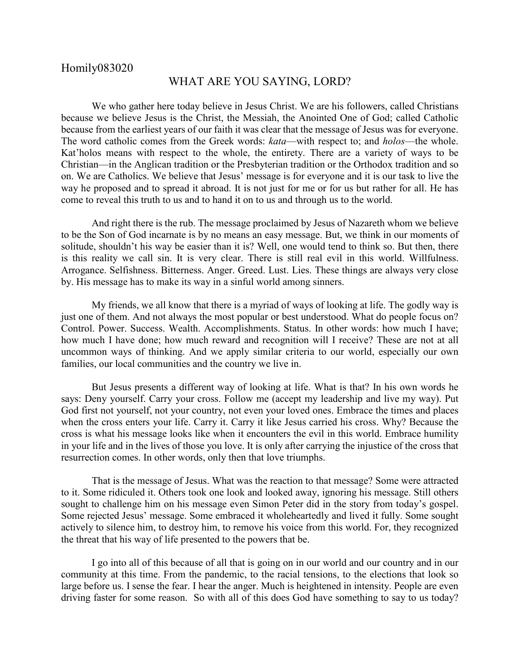## Homily083020

## WHAT ARE YOU SAYING, LORD?

We who gather here today believe in Jesus Christ. We are his followers, called Christians because we believe Jesus is the Christ, the Messiah, the Anointed One of God; called Catholic because from the earliest years of our faith it was clear that the message of Jesus was for everyone. The word catholic comes from the Greek words: *kata*—with respect to; and *holos*—the whole. Kat'holos means with respect to the whole, the entirety. There are a variety of ways to be Christian—in the Anglican tradition or the Presbyterian tradition or the Orthodox tradition and so on. We are Catholics. We believe that Jesus' message is for everyone and it is our task to live the way he proposed and to spread it abroad. It is not just for me or for us but rather for all. He has come to reveal this truth to us and to hand it on to us and through us to the world.

And right there is the rub. The message proclaimed by Jesus of Nazareth whom we believe to be the Son of God incarnate is by no means an easy message. But, we think in our moments of solitude, shouldn't his way be easier than it is? Well, one would tend to think so. But then, there is this reality we call sin. It is very clear. There is still real evil in this world. Willfulness. Arrogance. Selfishness. Bitterness. Anger. Greed. Lust. Lies. These things are always very close by. His message has to make its way in a sinful world among sinners.

My friends, we all know that there is a myriad of ways of looking at life. The godly way is just one of them. And not always the most popular or best understood. What do people focus on? Control. Power. Success. Wealth. Accomplishments. Status. In other words: how much I have; how much I have done; how much reward and recognition will I receive? These are not at all uncommon ways of thinking. And we apply similar criteria to our world, especially our own families, our local communities and the country we live in.

But Jesus presents a different way of looking at life. What is that? In his own words he says: Deny yourself. Carry your cross. Follow me (accept my leadership and live my way). Put God first not yourself, not your country, not even your loved ones. Embrace the times and places when the cross enters your life. Carry it. Carry it like Jesus carried his cross. Why? Because the cross is what his message looks like when it encounters the evil in this world. Embrace humility in your life and in the lives of those you love. It is only after carrying the injustice of the cross that resurrection comes. In other words, only then that love triumphs.

That is the message of Jesus. What was the reaction to that message? Some were attracted to it. Some ridiculed it. Others took one look and looked away, ignoring his message. Still others sought to challenge him on his message even Simon Peter did in the story from today's gospel. Some rejected Jesus' message. Some embraced it wholeheartedly and lived it fully. Some sought actively to silence him, to destroy him, to remove his voice from this world. For, they recognized the threat that his way of life presented to the powers that be.

I go into all of this because of all that is going on in our world and our country and in our community at this time. From the pandemic, to the racial tensions, to the elections that look so large before us. I sense the fear. I hear the anger. Much is heightened in intensity. People are even driving faster for some reason. So with all of this does God have something to say to us today?